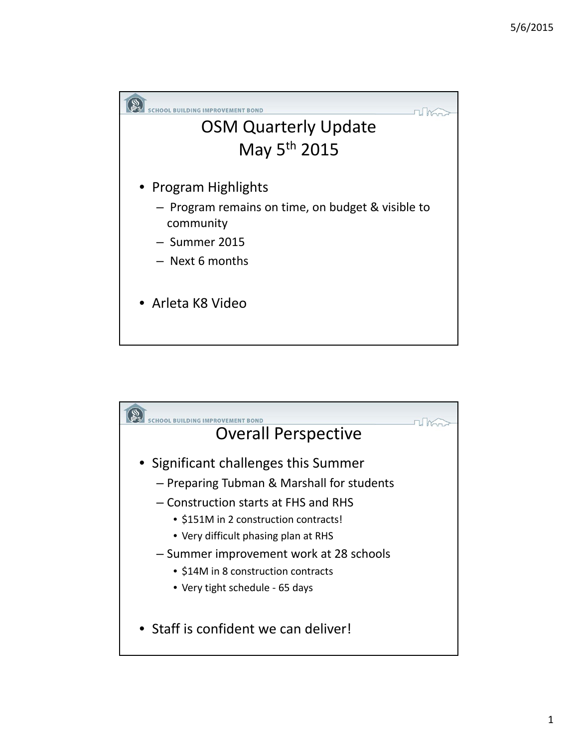

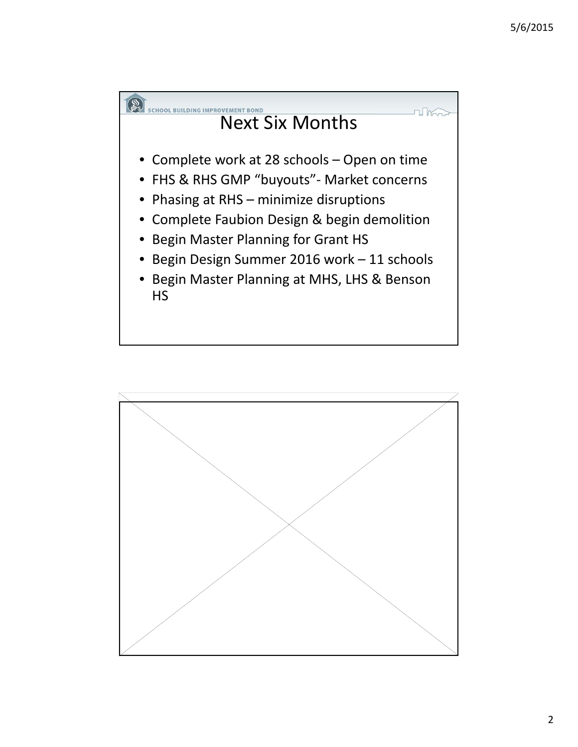

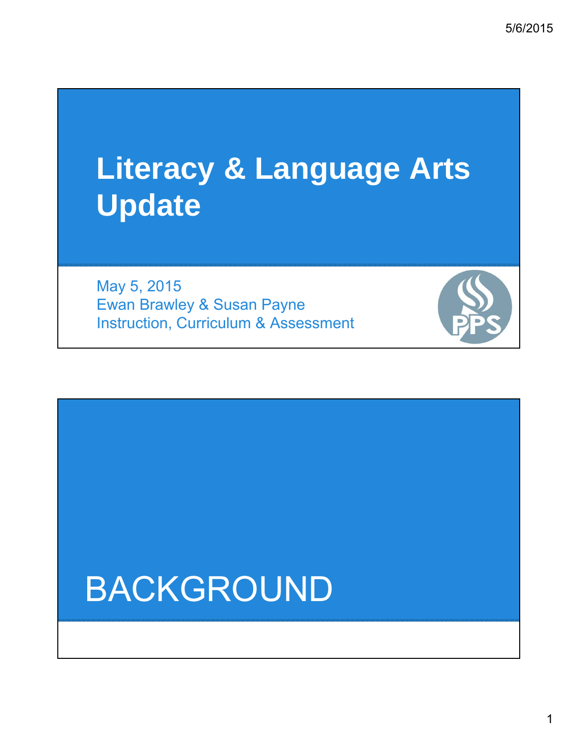# **Literacy & Language Arts Update**

May 5, 2015 Ewan Brawley & Susan Payne Instruction, Curriculum & Assessment

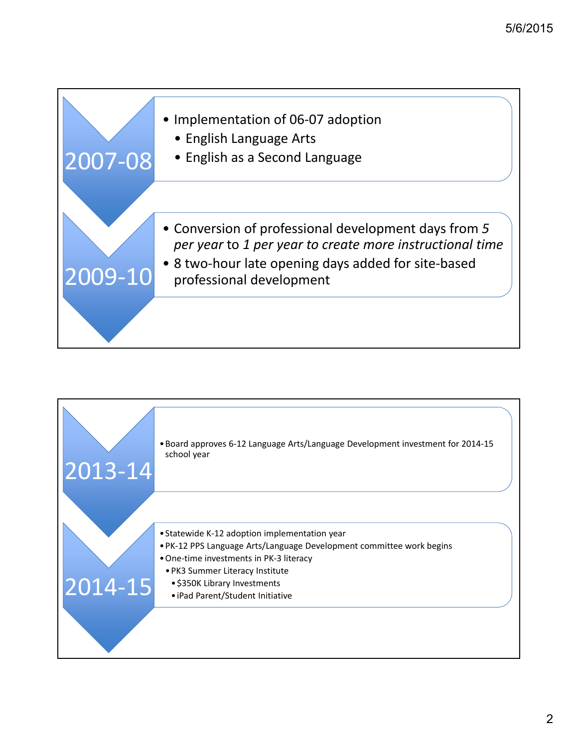

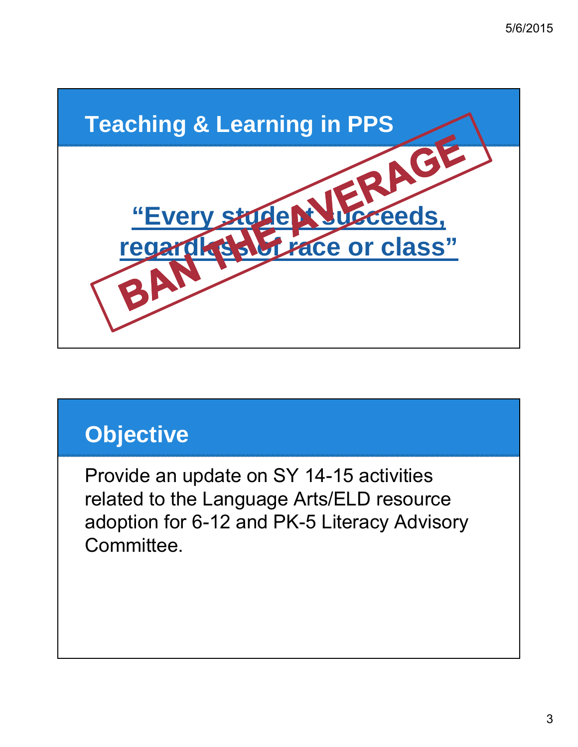

### **Objective**

Provide an update on SY 14-15 activities related to the Language Arts/ELD resource adoption for 6-12 and PK-5 Literacy Advisory Committee.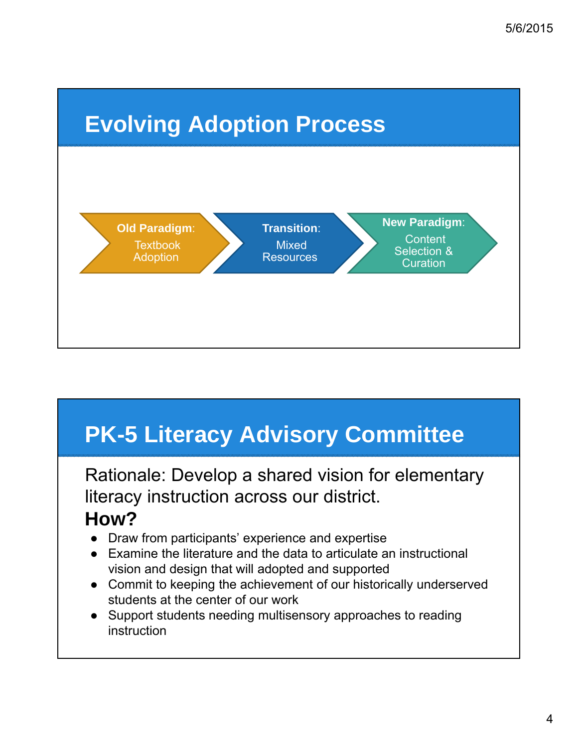

# **PK-5 Literacy Advisory Committee**

Rationale: Develop a shared vision for elementary literacy instruction across our district. **How?**

- Draw from participants' experience and expertise
- Examine the literature and the data to articulate an instructional vision and design that will adopted and supported
- Commit to keeping the achievement of our historically underserved students at the center of our work
- Support students needing multisensory approaches to reading instruction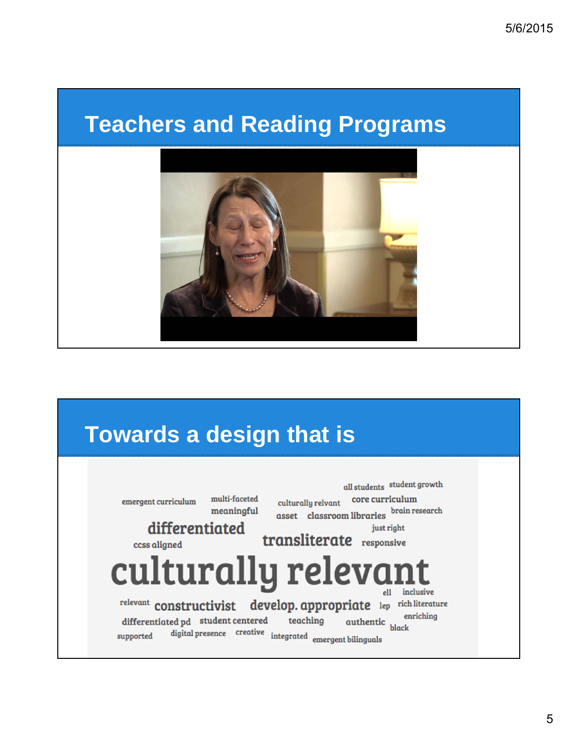#### **Teachers and Reading Programs**



### **Towards a design that is**

all students student growth culturally relvant core curriculum multi-faceted  $\mathbf{emergent}$  curriculum asset classroom libraries brain research meaningful differentiated just right transliterate responsive ccss aligned culturally relevar inclusive relevant constructivist develop. appropriate lep rich literature authentic er enriching differentiated pd student centered teaching digital presence creative integrated emergent bilinguals supported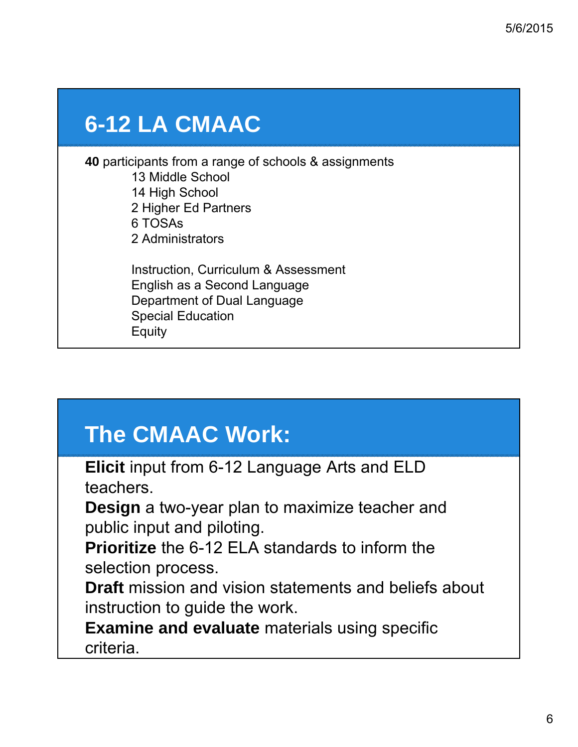### **6-12 LA CMAAC**

**40** participants from a range of schools & assignments 13 Middle School 14 High School 2 Higher Ed Partners 6 TOSAs 2 Administrators

> Instruction, Curriculum & Assessment English as a Second Language Department of Dual Language Special Education **Equity**

## **The CMAAC Work:**

**Elicit** input from 6-12 Language Arts and ELD teachers.

**Design** a two-year plan to maximize teacher and public input and piloting.

**Prioritize** the 6-12 ELA standards to inform the selection process.

**Draft** mission and vision statements and beliefs about instruction to guide the work.

**Examine and evaluate** materials using specific criteria.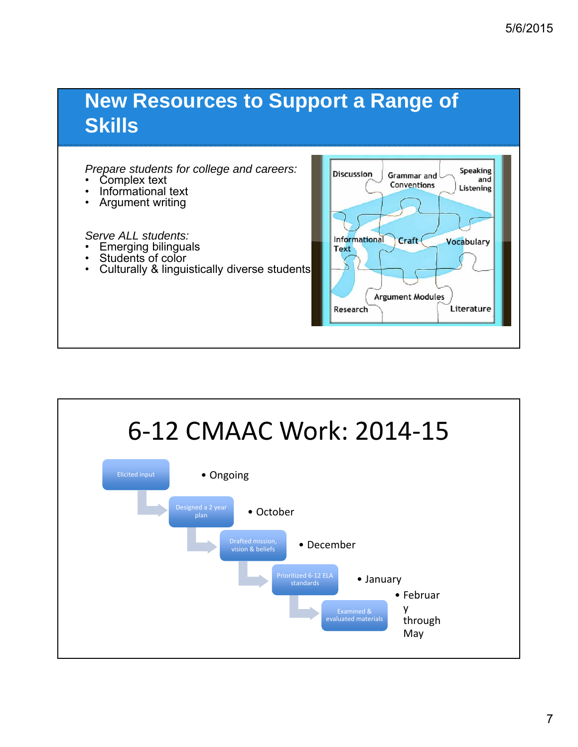#### **New Resources to Support a Range of Skills**

#### *Prepare students for college and careers:*

- Complex text
- Informational text
- Argument writing

#### *Serve ALL students:*

- Emerging bilinguals
- Students of color
- Culturally & linguistically diverse students